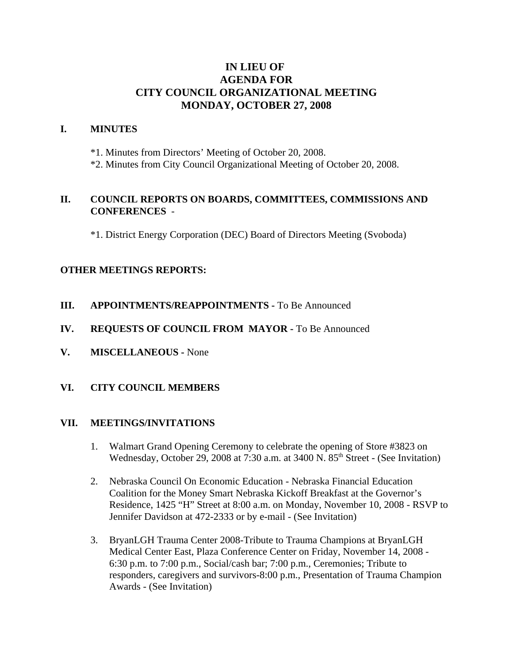# **IN LIEU OF AGENDA FOR CITY COUNCIL ORGANIZATIONAL MEETING MONDAY, OCTOBER 27, 2008**

### **I. MINUTES**

\*1. Minutes from Directors' Meeting of October 20, 2008.

\*2. Minutes from City Council Organizational Meeting of October 20, 2008.

## **II. COUNCIL REPORTS ON BOARDS, COMMITTEES, COMMISSIONS AND CONFERENCES** -

\*1. District Energy Corporation (DEC) Board of Directors Meeting (Svoboda)

## **OTHER MEETINGS REPORTS:**

- **III.** APPOINTMENTS/REAPPOINTMENTS To Be Announced
- **IV. REQUESTS OF COUNCIL FROM MAYOR -** To Be Announced
- **V. MISCELLANEOUS -** None

#### **VI. CITY COUNCIL MEMBERS**

#### **VII. MEETINGS/INVITATIONS**

- 1. Walmart Grand Opening Ceremony to celebrate the opening of Store #3823 on Wednesday, October 29, 2008 at 7:30 a.m. at 3400 N. 85<sup>th</sup> Street - (See Invitation)
- 2. Nebraska Council On Economic Education Nebraska Financial Education Coalition for the Money Smart Nebraska Kickoff Breakfast at the Governor's Residence, 1425 "H" Street at 8:00 a.m. on Monday, November 10, 2008 - RSVP to Jennifer Davidson at 472-2333 or by e-mail - (See Invitation)
- 3. BryanLGH Trauma Center 2008-Tribute to Trauma Champions at BryanLGH Medical Center East, Plaza Conference Center on Friday, November 14, 2008 - 6:30 p.m. to 7:00 p.m., Social/cash bar; 7:00 p.m., Ceremonies; Tribute to responders, caregivers and survivors-8:00 p.m., Presentation of Trauma Champion Awards - (See Invitation)